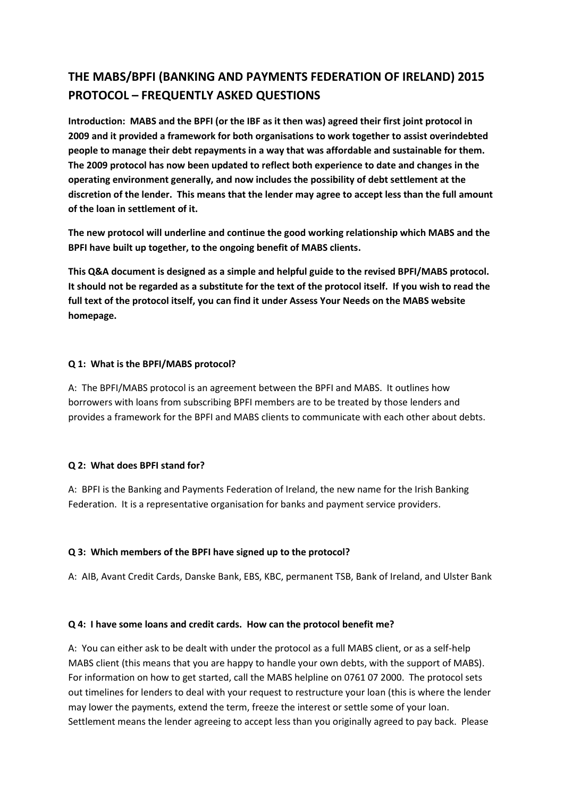# **THE MABS/BPFI (BANKING AND PAYMENTS FEDERATION OF IRELAND) 2015 PROTOCOL – FREQUENTLY ASKED QUESTIONS**

**Introduction: MABS and the BPFI (or the IBF as it then was) agreed their first joint protocol in 2009 and it provided a framework for both organisations to work together to assist overindebted people to manage their debt repayments in a way that was affordable and sustainable for them. The 2009 protocol has now been updated to reflect both experience to date and changes in the operating environment generally, and now includes the possibility of debt settlement at the discretion of the lender. This means that the lender may agree to accept less than the full amount of the loan in settlement of it.**

**The new protocol will underline and continue the good working relationship which MABS and the BPFI have built up together, to the ongoing benefit of MABS clients.**

**This Q&A document is designed as a simple and helpful guide to the revised BPFI/MABS protocol. It should not be regarded as a substitute for the text of the protocol itself. If you wish to read the full text of the protocol itself, you can find it under Assess Your Needs on the MABS website homepage.**

### **Q 1: What is the BPFI/MABS protocol?**

A: The BPFI/MABS protocol is an agreement between the BPFI and MABS. It outlines how borrowers with loans from subscribing BPFI members are to be treated by those lenders and provides a framework for the BPFI and MABS clients to communicate with each other about debts.

# **Q 2: What does BPFI stand for?**

A: BPFI is the Banking and Payments Federation of Ireland, the new name for the Irish Banking Federation. It is a representative organisation for banks and payment service providers.

# **Q 3: Which members of the BPFI have signed up to the protocol?**

A: AIB, Avant Credit Cards, Danske Bank, EBS, KBC, permanent TSB, Bank of Ireland, and Ulster Bank

#### **Q 4: I have some loans and credit cards. How can the protocol benefit me?**

A: You can either ask to be dealt with under the protocol as a full MABS client, or as a self-help MABS client (this means that you are happy to handle your own debts, with the support of MABS). For information on how to get started, call the MABS helpline on 0761 07 2000. The protocol sets out timelines for lenders to deal with your request to restructure your loan (this is where the lender may lower the payments, extend the term, freeze the interest or settle some of your loan. Settlement means the lender agreeing to accept less than you originally agreed to pay back. Please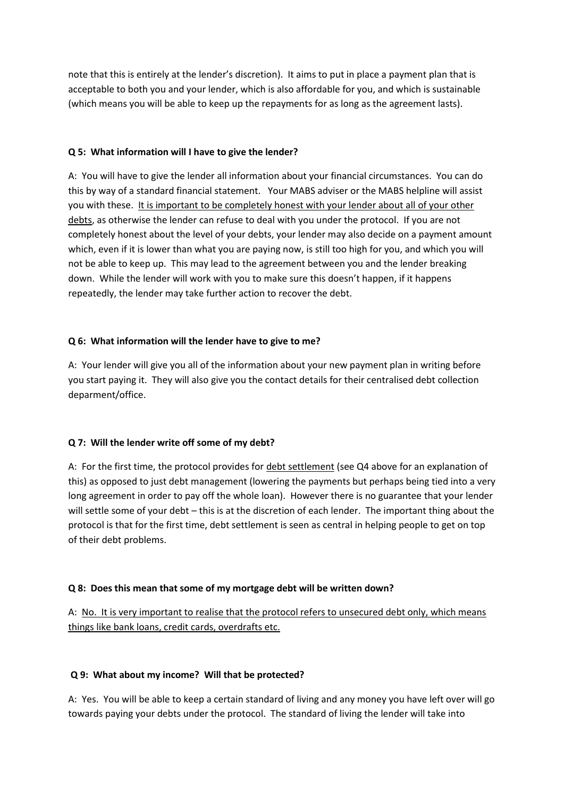note that this is entirely at the lender's discretion). It aims to put in place a payment plan that is acceptable to both you and your lender, which is also affordable for you, and which is sustainable (which means you will be able to keep up the repayments for as long as the agreement lasts).

# **Q 5: What information will I have to give the lender?**

A: You will have to give the lender all information about your financial circumstances. You can do this by way of a standard financial statement. Your MABS adviser or the MABS helpline will assist you with these. It is important to be completely honest with your lender about all of your other debts, as otherwise the lender can refuse to deal with you under the protocol. If you are not completely honest about the level of your debts, your lender may also decide on a payment amount which, even if it is lower than what you are paying now, is still too high for you, and which you will not be able to keep up. This may lead to the agreement between you and the lender breaking down. While the lender will work with you to make sure this doesn't happen, if it happens repeatedly, the lender may take further action to recover the debt.

# **Q 6: What information will the lender have to give to me?**

A: Your lender will give you all of the information about your new payment plan in writing before you start paying it. They will also give you the contact details for their centralised debt collection deparment/office.

# **Q 7: Will the lender write off some of my debt?**

A: For the first time, the protocol provides for debt settlement (see Q4 above for an explanation of this) as opposed to just debt management (lowering the payments but perhaps being tied into a very long agreement in order to pay off the whole loan). However there is no guarantee that your lender will settle some of your debt – this is at the discretion of each lender. The important thing about the protocol is that for the first time, debt settlement is seen as central in helping people to get on top of their debt problems.

# **Q 8: Does this mean that some of my mortgage debt will be written down?**

A: No. It is very important to realise that the protocol refers to unsecured debt only, which means things like bank loans, credit cards, overdrafts etc.

# **Q 9: What about my income? Will that be protected?**

A: Yes. You will be able to keep a certain standard of living and any money you have left over will go towards paying your debts under the protocol. The standard of living the lender will take into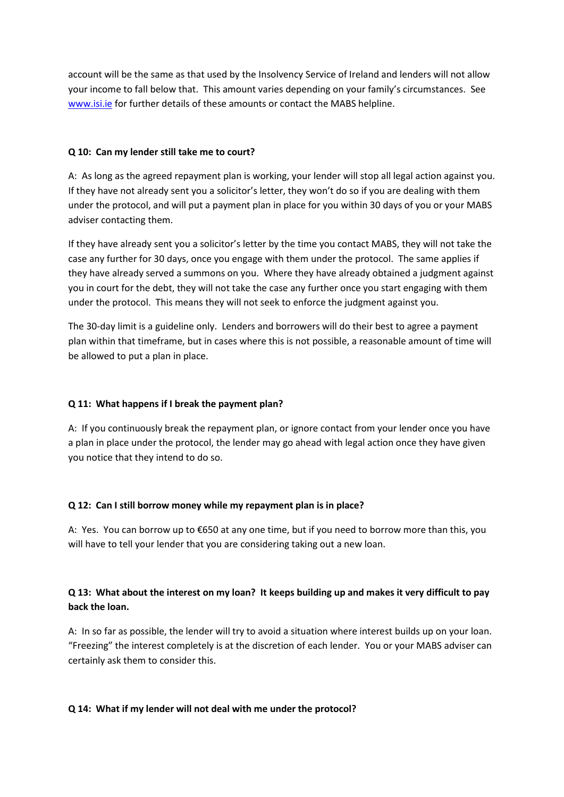account will be the same as that used by the Insolvency Service of Ireland and lenders will not allow your income to fall below that. This amount varies depending on your family's circumstances. See [www.isi.ie](http://www.isi.ie/) for further details of these amounts or contact the MABS helpline.

### **Q 10: Can my lender still take me to court?**

A: As long as the agreed repayment plan is working, your lender will stop all legal action against you. If they have not already sent you a solicitor's letter, they won't do so if you are dealing with them under the protocol, and will put a payment plan in place for you within 30 days of you or your MABS adviser contacting them.

If they have already sent you a solicitor's letter by the time you contact MABS, they will not take the case any further for 30 days, once you engage with them under the protocol. The same applies if they have already served a summons on you. Where they have already obtained a judgment against you in court for the debt, they will not take the case any further once you start engaging with them under the protocol. This means they will not seek to enforce the judgment against you.

The 30-day limit is a guideline only. Lenders and borrowers will do their best to agree a payment plan within that timeframe, but in cases where this is not possible, a reasonable amount of time will be allowed to put a plan in place.

# **Q 11: What happens if I break the payment plan?**

A: If you continuously break the repayment plan, or ignore contact from your lender once you have a plan in place under the protocol, the lender may go ahead with legal action once they have given you notice that they intend to do so.

#### **Q 12: Can I still borrow money while my repayment plan is in place?**

A: Yes. You can borrow up to €650 at any one time, but if you need to borrow more than this, you will have to tell your lender that you are considering taking out a new loan.

# **Q 13: What about the interest on my loan? It keeps building up and makes it very difficult to pay back the loan.**

A: In so far as possible, the lender will try to avoid a situation where interest builds up on your loan. "Freezing" the interest completely is at the discretion of each lender. You or your MABS adviser can certainly ask them to consider this.

#### **Q 14: What if my lender will not deal with me under the protocol?**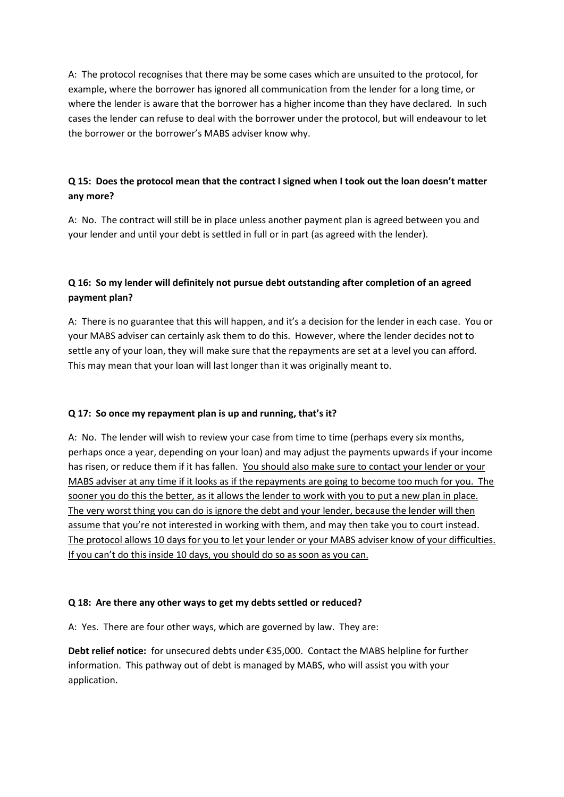A: The protocol recognises that there may be some cases which are unsuited to the protocol, for example, where the borrower has ignored all communication from the lender for a long time, or where the lender is aware that the borrower has a higher income than they have declared. In such cases the lender can refuse to deal with the borrower under the protocol, but will endeavour to let the borrower or the borrower's MABS adviser know why.

# **Q 15: Does the protocol mean that the contract I signed when I took out the loan doesn't matter any more?**

A: No. The contract will still be in place unless another payment plan is agreed between you and your lender and until your debt is settled in full or in part (as agreed with the lender).

# **Q 16: So my lender will definitely not pursue debt outstanding after completion of an agreed payment plan?**

A: There is no guarantee that this will happen, and it's a decision for the lender in each case. You or your MABS adviser can certainly ask them to do this. However, where the lender decides not to settle any of your loan, they will make sure that the repayments are set at a level you can afford. This may mean that your loan will last longer than it was originally meant to.

# **Q 17: So once my repayment plan is up and running, that's it?**

A: No. The lender will wish to review your case from time to time (perhaps every six months, perhaps once a year, depending on your loan) and may adjust the payments upwards if your income has risen, or reduce them if it has fallen. You should also make sure to contact your lender or your MABS adviser at any time if it looks as if the repayments are going to become too much for you. The sooner you do this the better, as it allows the lender to work with you to put a new plan in place. The very worst thing you can do is ignore the debt and your lender, because the lender will then assume that you're not interested in working with them, and may then take you to court instead. The protocol allows 10 days for you to let your lender or your MABS adviser know of your difficulties. If you can't do this inside 10 days, you should do so as soon as you can.

# **Q 18: Are there any other ways to get my debts settled or reduced?**

A: Yes. There are four other ways, which are governed by law. They are:

**Debt relief notice:** for unsecured debts under €35,000. Contact the MABS helpline for further information. This pathway out of debt is managed by MABS, who will assist you with your application.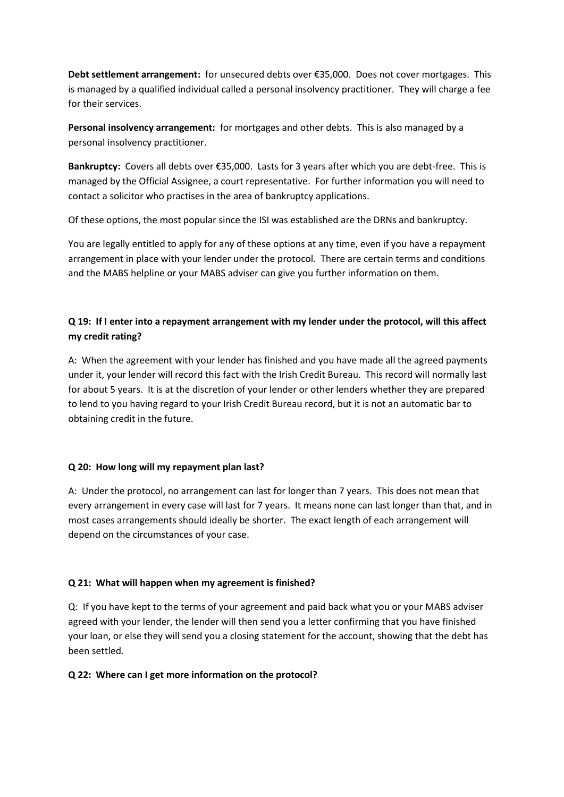**Debt settlement arrangement:** for unsecured debts over €35,000. Does not cover mortgages. This is managed by a qualified individual called a personal insolvency practitioner. They will charge a fee for their services.

**Personal insolvency arrangement:** for mortgages and other debts. This is also managed by a personal insolvency practitioner.

**Bankruptcy:** Covers all debts over €35,000. Lasts for 3 years after which you are debt-free. This is managed by the Official Assignee, a court representative. For further information you will need to contact a solicitor who practises in the area of bankruptcy applications.

Of these options, the most popular since the ISI was established are the DRNs and bankruptcy.

You are legally entitled to apply for any of these options at any time, even if you have a repayment arrangement in place with your lender under the protocol. There are certain terms and conditions and the MABS helpline or your MABS adviser can give you further information on them.

# **Q 19: If I enter into a repayment arrangement with my lender under the protocol, will this affect my credit rating?**

A: When the agreement with your lender has finished and you have made all the agreed payments under it, your lender will record this fact with the Irish Credit Bureau. This record will normally last for about 5 years. It is at the discretion of your lender or other lenders whether they are prepared to lend to you having regard to your Irish Credit Bureau record, but it is not an automatic bar to obtaining credit in the future.

# **Q 20: How long will my repayment plan last?**

A: Under the protocol, no arrangement can last for longer than 7 years. This does not mean that every arrangement in every case will last for 7 years. It means none can last longer than that, and in most cases arrangements should ideally be shorter. The exact length of each arrangement will depend on the circumstances of your case.

# **Q 21: What will happen when my agreement is finished?**

Q: If you have kept to the terms of your agreement and paid back what you or your MABS adviser agreed with your lender, the lender will then send you a letter confirming that you have finished your loan, or else they will send you a closing statement for the account, showing that the debt has been settled.

# **Q 22: Where can I get more information on the protocol?**